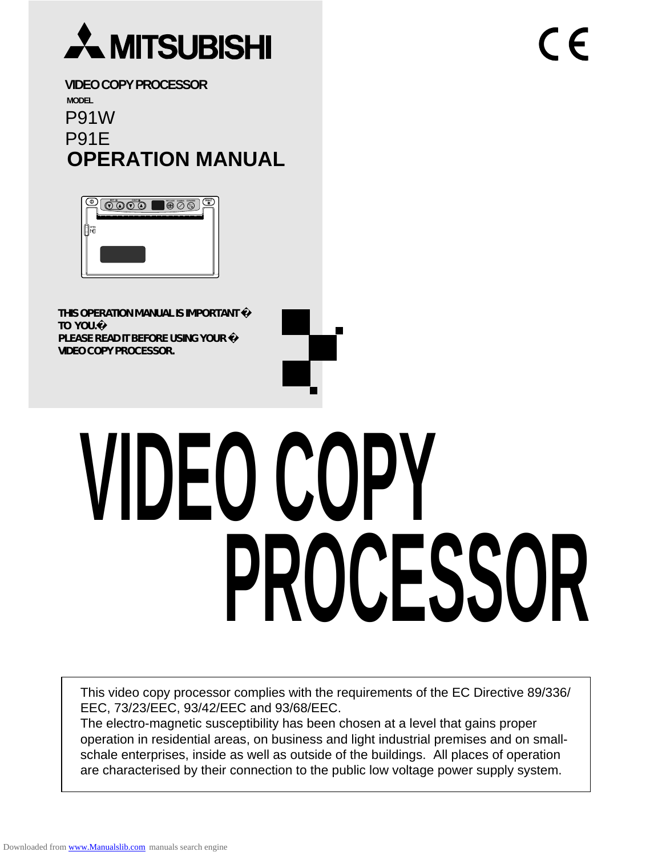

**VIDEO COPY PROCESSOR MODEL** P91W P91E **OPERATION MANUAL**

| CONTO<br>507<br>۰<br><b>GAMMA</b><br>converter<br>007-009<br>,,,,,,,,,,,,,,,,,,,,,,<br>----<br>---- | н |
|-----------------------------------------------------------------------------------------------------|---|
|                                                                                                     |   |
|                                                                                                     |   |
|                                                                                                     |   |

**THIS OPERATION MANUAL IS IMPORTANT TO YOU.� PLEASE READ IT BEFORE USING YOUR VIDEO COPY PROCESSOR.**

# **VIDEO COPY PROCESSOR**

 $\epsilon$ 

This video copy processor complies with the requirements of the EC Directive 89/336/ EEC, 73/23/EEC, 93/42/EEC and 93/68/EEC.

The electro-magnetic susceptibility has been chosen at a level that gains proper operation in residential areas, on business and light industrial premises and on smallschale enterprises, inside as well as outside of the buildings. All places of operation are characterised by their connection to the public low voltage power supply system.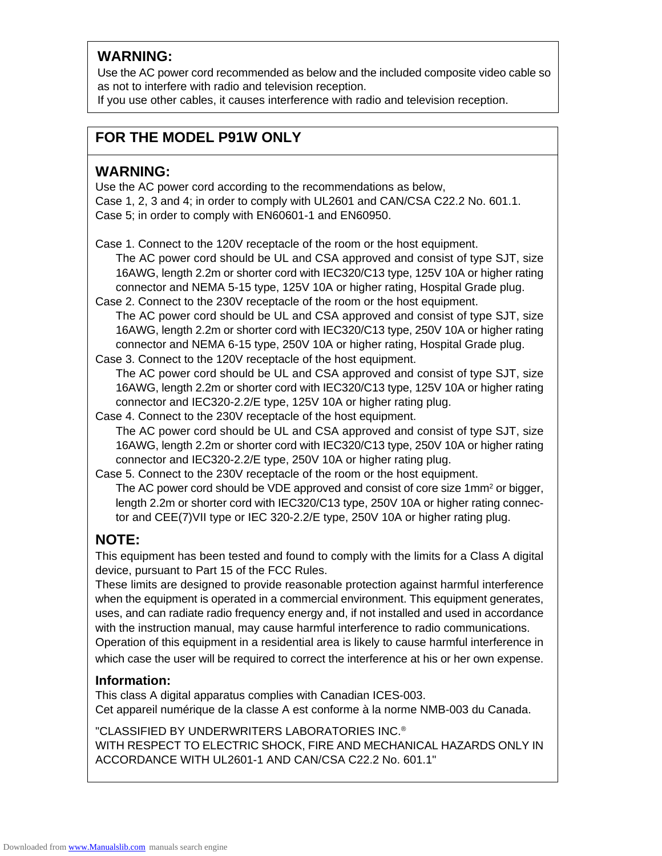#### **WARNING:**

Use the AC power cord recommended as below and the included composite video cable so as not to interfere with radio and television reception.

If you use other cables, it causes interference with radio and television reception.

#### **FOR THE MODEL P91W ONLY**

#### **WARNING:**

Use the AC power cord according to the recommendations as below, Case 1, 2, 3 and 4; in order to comply with UL2601 and CAN/CSA C22.2 No. 601.1. Case 5; in order to comply with EN60601-1 and EN60950.

Case 1. Connect to the 120V receptacle of the room or the host equipment.

The AC power cord should be UL and CSA approved and consist of type SJT, size 16AWG, length 2.2m or shorter cord with IEC320/C13 type, 125V 10A or higher rating connector and NEMA 5-15 type, 125V 10A or higher rating, Hospital Grade plug.

- Case 2. Connect to the 230V receptacle of the room or the host equipment. The AC power cord should be UL and CSA approved and consist of type SJT, size 16AWG, length 2.2m or shorter cord with IEC320/C13 type, 250V 10A or higher rating connector and NEMA 6-15 type, 250V 10A or higher rating, Hospital Grade plug.
- Case 3. Connect to the 120V receptacle of the host equipment. The AC power cord should be UL and CSA approved and consist of type SJT, size 16AWG, length 2.2m or shorter cord with IEC320/C13 type, 125V 10A or higher rating connector and IEC320-2.2/E type, 125V 10A or higher rating plug.

Case 4. Connect to the 230V receptacle of the host equipment. The AC power cord should be UL and CSA approved and consist of type SJT, size 16AWG, length 2.2m or shorter cord with IEC320/C13 type, 250V 10A or higher rating connector and IEC320-2.2/E type, 250V 10A or higher rating plug.

Case 5. Connect to the 230V receptacle of the room or the host equipment. The AC power cord should be VDE approved and consist of core size 1mm<sup>2</sup> or bigger, length 2.2m or shorter cord with IEC320/C13 type, 250V 10A or higher rating connector and CEE(7)VII type or IEC 320-2.2/E type, 250V 10A or higher rating plug.

#### **NOTE:**

This equipment has been tested and found to comply with the limits for a Class A digital device, pursuant to Part 15 of the FCC Rules.

These limits are designed to provide reasonable protection against harmful interference when the equipment is operated in a commercial environment. This equipment generates, uses, and can radiate radio frequency energy and, if not installed and used in accordance with the instruction manual, may cause harmful interference to radio communications. Operation of this equipment in a residential area is likely to cause harmful interference in

which case the user will be required to correct the interference at his or her own expense.

#### **Information:**

This class A digital apparatus complies with Canadian ICES-003. Cet appareil numérique de la classe A est conforme à la norme NMB-003 du Canada.

"CLASSIFIED BY UNDERWRITERS LABORATORIES INC.® WITH RESPECT TO ELECTRIC SHOCK, FIRE AND MECHANICAL HAZARDS ONLY IN ACCORDANCE WITH UL2601-1 AND CAN/CSA C22.2 No. 601.1"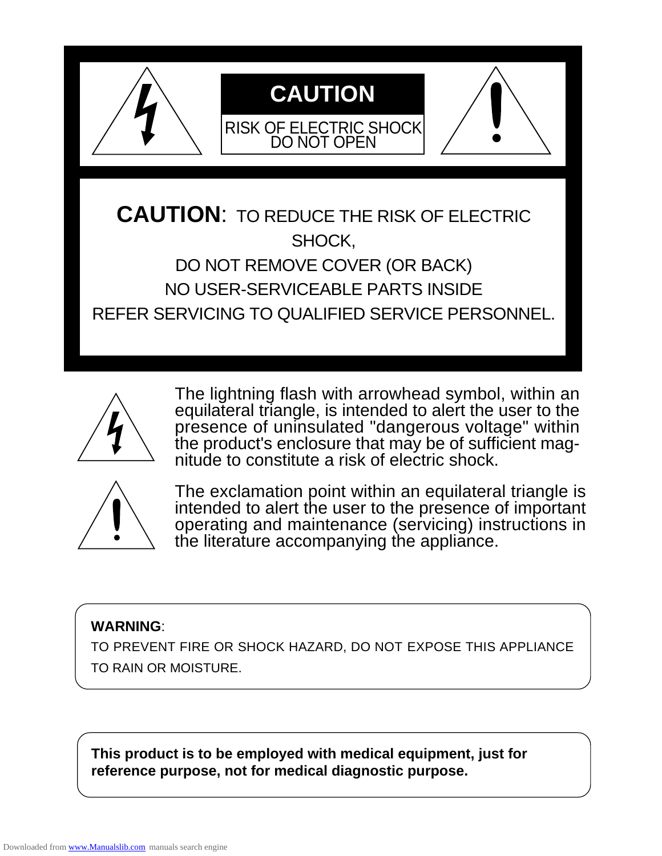

**CAUTION**: TO REDUCE THE RISK OF ELECTRIC SHOCK, DO NOT REMOVE COVER (OR BACK) NO USER-SERVICEABLE PARTS INSIDE REFER SERVICING TO QUALIFIED SERVICE PERSONNEL.



The lightning flash with arrowhead symbol, within an equilateral triangle, is intended to alert the user to the presence of uninsulated "dangerous voltage" within the product's enclosure that may be of sufficient magnitude to constitute a risk of electric shock.



The exclamation point within an equilateral triangle is intended to alert the user to the presence of important operating and maintenance (servicing) instructions in the literature accompanying the appliance.

#### **WARNING**:

TO PREVENT FIRE OR SHOCK HAZARD, DO NOT EXPOSE THIS APPLIANCE TO RAIN OR MOISTURE.

**This product is to be employed with medical equipment, just for reference purpose, not for medical diagnostic purpose.**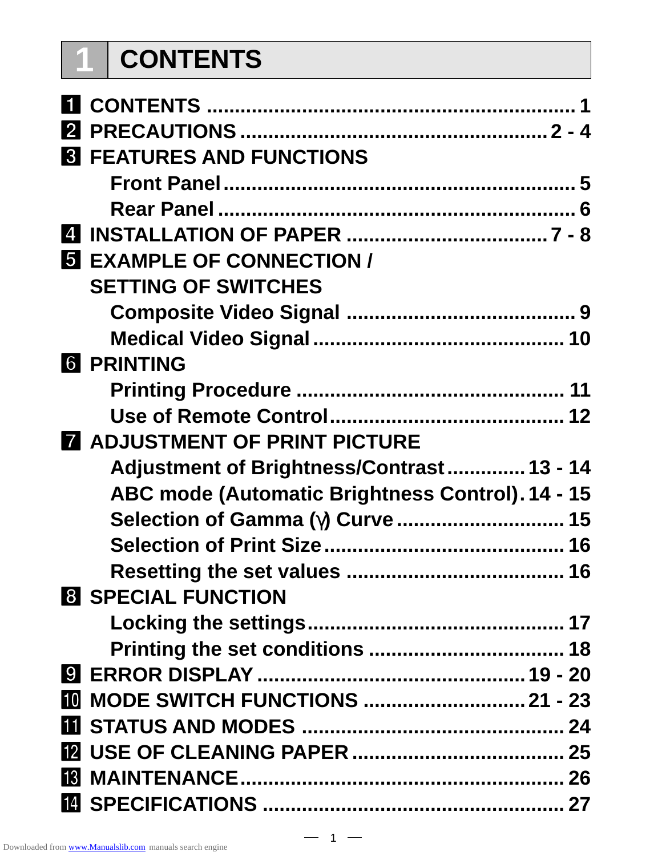# **1 CONTENTS**

| <b>8 FEATURES AND FUNCTIONS</b>                  |  |
|--------------------------------------------------|--|
|                                                  |  |
|                                                  |  |
|                                                  |  |
| <b>5 EXAMPLE OF CONNECTION /</b>                 |  |
| <b>SETTING OF SWITCHES</b>                       |  |
|                                                  |  |
|                                                  |  |
| <b>6 PRINTING</b>                                |  |
|                                                  |  |
|                                                  |  |
| <b>A ADJUSTMENT OF PRINT PICTURE</b>             |  |
| Adjustment of Brightness/Contrast 13 - 14        |  |
| ABC mode (Automatic Brightness Control). 14 - 15 |  |
| Selection of Gamma (y) Curve  15                 |  |
|                                                  |  |
|                                                  |  |
| <b>8 SPECIAL FUNCTION</b>                        |  |
|                                                  |  |
|                                                  |  |
|                                                  |  |
| <b>10 MODE SWITCH FUNCTIONS  21 - 23</b>         |  |
|                                                  |  |
|                                                  |  |
|                                                  |  |
|                                                  |  |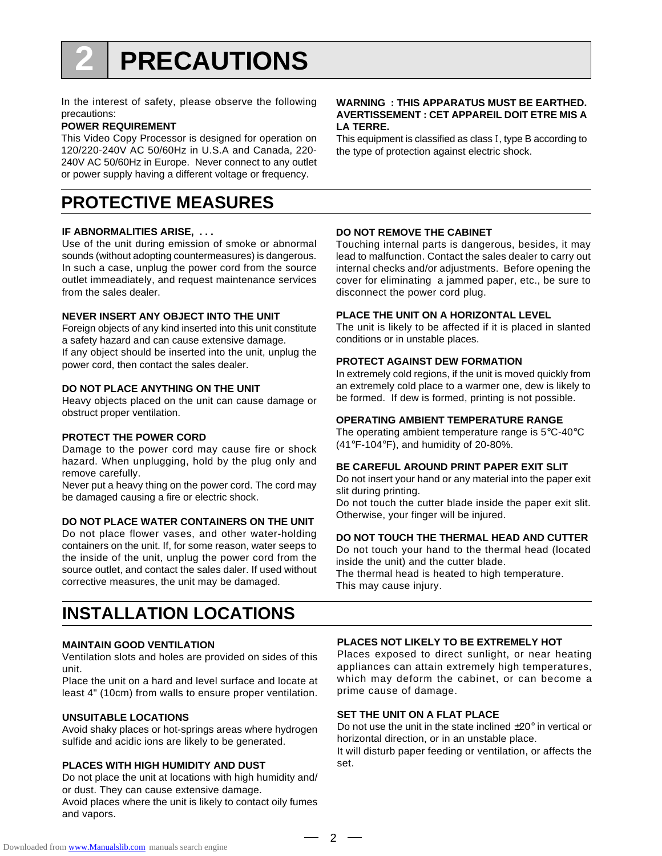## **2 PRECAUTIONS**

In the interest of safety, please observe the following precautions:

#### **POWER REQUIREMENT**

This Video Copy Processor is designed for operation on 120/220-240V AC 50/60Hz in U.S.A and Canada, 220- 240V AC 50/60Hz in Europe. Never connect to any outlet or power supply having a different voltage or frequency.

## **PROTECTIVE MEASURES**

#### **IF ABNORMALITIES ARISE, . . .**

Use of the unit during emission of smoke or abnormal sounds (without adopting countermeasures) is dangerous. In such a case, unplug the power cord from the source outlet immeadiately, and request maintenance services from the sales dealer.

#### **NEVER INSERT ANY OBJECT INTO THE UNIT**

Foreign objects of any kind inserted into this unit constitute a safety hazard and can cause extensive damage. If any object should be inserted into the unit, unplug the power cord, then contact the sales dealer.

#### **DO NOT PLACE ANYTHING ON THE UNIT**

Heavy objects placed on the unit can cause damage or obstruct proper ventilation.

#### **PROTECT THE POWER CORD**

Damage to the power cord may cause fire or shock hazard. When unplugging, hold by the plug only and remove carefully.

Never put a heavy thing on the power cord. The cord may be damaged causing a fire or electric shock.

#### **DO NOT PLACE WATER CONTAINERS ON THE UNIT**

Do not place flower vases, and other water-holding containers on the unit. If, for some reason, water seeps to the inside of the unit, unplug the power cord from the source outlet, and contact the sales daler. If used without corrective measures, the unit may be damaged.

### **INSTALLATION LOCATIONS**

#### **MAINTAIN GOOD VENTILATION**

Ventilation slots and holes are provided on sides of this unit.

Place the unit on a hard and level surface and locate at least 4" (10cm) from walls to ensure proper ventilation.

#### **UNSUITABLE LOCATIONS**

Avoid shaky places or hot-springs areas where hydrogen sulfide and acidic ions are likely to be generated.

#### **PLACES WITH HIGH HUMIDITY AND DUST**

Do not place the unit at locations with high humidity and/ or dust. They can cause extensive damage. Avoid places where the unit is likely to contact oily fumes

and vapors.

#### **WARNING : THIS APPARATUS MUST BE EARTHED. AVERTISSEMENT : CET APPAREIL DOIT ETRE MIS A LA TERRE.**

This equipment is classified as class 1, type B according to the type of protection against electric shock.

#### **DO NOT REMOVE THE CABINET**

Touching internal parts is dangerous, besides, it may lead to malfunction. Contact the sales dealer to carry out internal checks and/or adjustments. Before opening the cover for eliminating a jammed paper, etc., be sure to disconnect the power cord plug.

#### **PLACE THE UNIT ON A HORIZONTAL LEVEL**

The unit is likely to be affected if it is placed in slanted conditions or in unstable places.

#### **PROTECT AGAINST DEW FORMATION**

In extremely cold regions, if the unit is moved quickly from an extremely cold place to a warmer one, dew is likely to be formed. If dew is formed, printing is not possible.

#### **OPERATING AMBIENT TEMPERATURE RANGE**

The operating ambient temperature range is 5°C-40°C (41°F-104°F), and humidity of 20-80%.

#### **BE CAREFUL AROUND PRINT PAPER EXIT SLIT**

Do not insert your hand or any material into the paper exit slit during printing.

Do not touch the cutter blade inside the paper exit slit. Otherwise, your finger will be injured.

#### **DO NOT TOUCH THE THERMAL HEAD AND CUTTER**

Do not touch your hand to the thermal head (located inside the unit) and the cutter blade.

The thermal head is heated to high temperature. This may cause injury.

#### **PLACES NOT LIKELY TO BE EXTREMELY HOT**

Places exposed to direct sunlight, or near heating appliances can attain extremely high temperatures, which may deform the cabinet, or can become a prime cause of damage.

#### **SET THE UNIT ON A FLAT PLACE**

Do not use the unit in the state inclined  $\pm 20^\circ$  in vertical or horizontal direction, or in an unstable place.

It will disturb paper feeding or ventilation, or affects the set.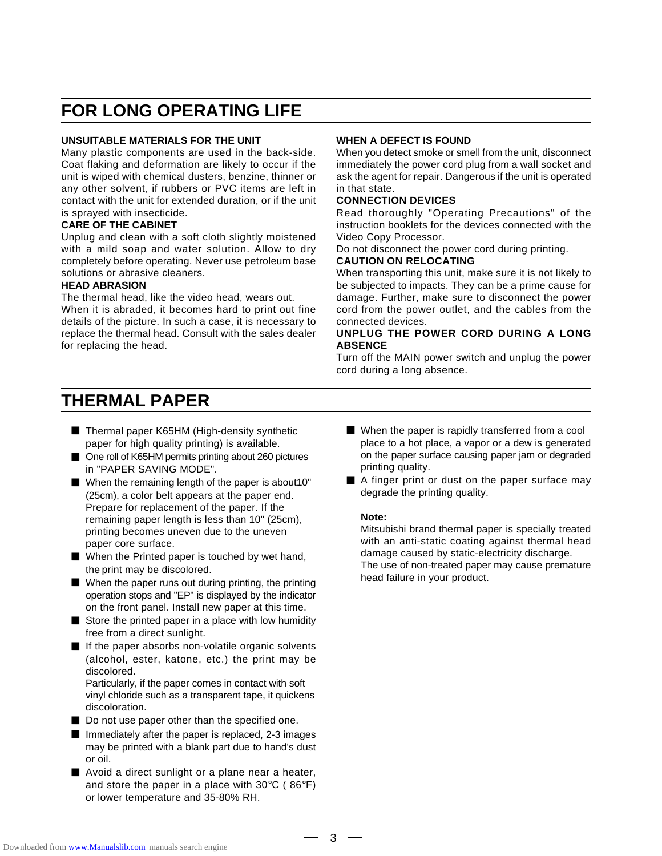## **FOR LONG OPERATING LIFE**

#### **UNSUITABLE MATERIALS FOR THE UNIT**

Many plastic components are used in the back-side. Coat flaking and deformation are likely to occur if the unit is wiped with chemical dusters, benzine, thinner or any other solvent, if rubbers or PVC items are left in contact with the unit for extended duration, or if the unit is sprayed with insecticide.

#### **CARE OF THE CABINET**

Unplug and clean with a soft cloth slightly moistened with a mild soap and water solution. Allow to dry completely before operating. Never use petroleum base solutions or abrasive cleaners.

#### **HEAD ABRASION**

The thermal head, like the video head, wears out. When it is abraded, it becomes hard to print out fine details of the picture. In such a case, it is necessary to replace the thermal head. Consult with the sales dealer for replacing the head.

#### **WHEN A DEFECT IS FOUND**

When you detect smoke or smell from the unit, disconnect immediately the power cord plug from a wall socket and ask the agent for repair. Dangerous if the unit is operated in that state.

#### **CONNECTION DEVICES**

Read thoroughly "Operating Precautions" of the instruction booklets for the devices connected with the Video Copy Processor.

Do not disconnect the power cord during printing. **CAUTION ON RELOCATING**

#### When transporting this unit, make sure it is not likely to be subjected to impacts. They can be a prime cause for damage. Further, make sure to disconnect the power cord from the power outlet, and the cables from the connected devices.

#### **UNPLUG THE POWER CORD DURING A LONG ABSENCE**

Turn off the MAIN power switch and unplug the power cord during a long absence.

#### **THERMAL PAPER**

- Thermal paper K65HM (High-density synthetic paper for high quality printing) is available.
- One roll of K65HM permits printing about 260 pictures in "PAPER SAVING MODE".
- $\blacksquare$  When the remaining length of the paper is about 10" (25cm), a color belt appears at the paper end. Prepare for replacement of the paper. If the remaining paper length is less than 10" (25cm), printing becomes uneven due to the uneven paper core surface.
- When the Printed paper is touched by wet hand, the print may be discolored.
- $\blacksquare$  When the paper runs out during printing, the printing operation stops and "EP" is displayed by the indicator on the front panel. Install new paper at this time.
- $\blacksquare$  Store the printed paper in a place with low humidity free from a direct sunlight.
- **E** If the paper absorbs non-volatile organic solvents (alcohol, ester, katone, etc.) the print may be discolored.

Particularly, if the paper comes in contact with soft vinyl chloride such as a transparent tape, it quickens discoloration.

- Do not use paper other than the specified one.
- $\blacksquare$  Immediately after the paper is replaced, 2-3 images may be printed with a blank part due to hand's dust or oil.
- Avoid a direct sunlight or a plane near a heater, and store the paper in a place with  $30^{\circ}$ C (86 $^{\circ}$ F) or lower temperature and 35-80% RH.
- $\blacksquare$  When the paper is rapidly transferred from a cool place to a hot place, a vapor or a dew is generated on the paper surface causing paper jam or degraded printing quality.
- A finger print or dust on the paper surface may degrade the printing quality.

#### **Note:**

Mitsubishi brand thermal paper is specially treated with an anti-static coating against thermal head damage caused by static-electricity discharge. The use of non-treated paper may cause premature head failure in your product.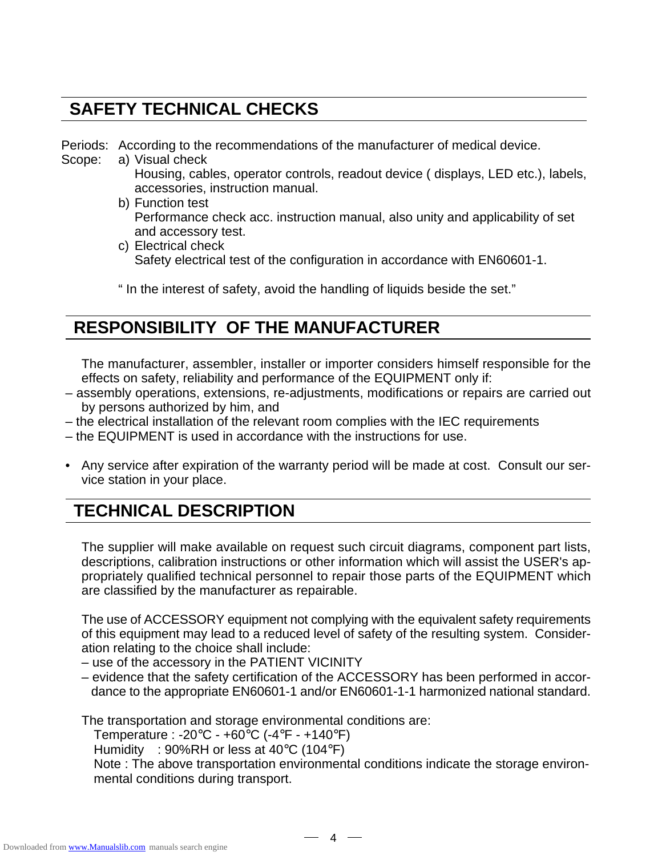## **SAFETY TECHNICAL CHECKS**

Periods: According to the recommendations of the manufacturer of medical device.

- Scope: a) Visual check
	- Housing, cables, operator controls, readout device ( displays, LED etc.), labels, accessories, instruction manual.
	- b) Function test Performance check acc. instruction manual, also unity and applicability of set and accessory test.
	- c) Electrical check Safety electrical test of the configuration in accordance with EN60601-1.

" In the interest of safety, avoid the handling of liquids beside the set."

## **RESPONSIBILITY OF THE MANUFACTURER**

The manufacturer, assembler, installer or importer considers himself responsible for the effects on safety, reliability and performance of the EQUIPMENT only if:

- assembly operations, extensions, re-adjustments, modifications or repairs are carried out by persons authorized by him, and
- the electrical installation of the relevant room complies with the IEC requirements
- the EQUIPMENT is used in accordance with the instructions for use.
- Any service after expiration of the warranty period will be made at cost. Consult our service station in your place.

## **TECHNICAL DESCRIPTION**

The supplier will make available on request such circuit diagrams, component part lists, descriptions, calibration instructions or other information which will assist the USER's appropriately qualified technical personnel to repair those parts of the EQUIPMENT which are classified by the manufacturer as repairable.

The use of ACCESSORY equipment not complying with the equivalent safety requirements of this equipment may lead to a reduced level of safety of the resulting system. Consideration relating to the choice shall include:

– use of the accessory in the PATIENT VICINITY

– evidence that the safety certification of the ACCESSORY has been performed in accor dance to the appropriate EN60601-1 and/or EN60601-1-1 harmonized national standard.

The transportation and storage environmental conditions are:

Temperature : -20°C - +60°C (-4°F - +140°F)

Humidity : 90%RH or less at 40°C (104°F)

Note : The above transportation environmental conditions indicate the storage environmental conditions during transport.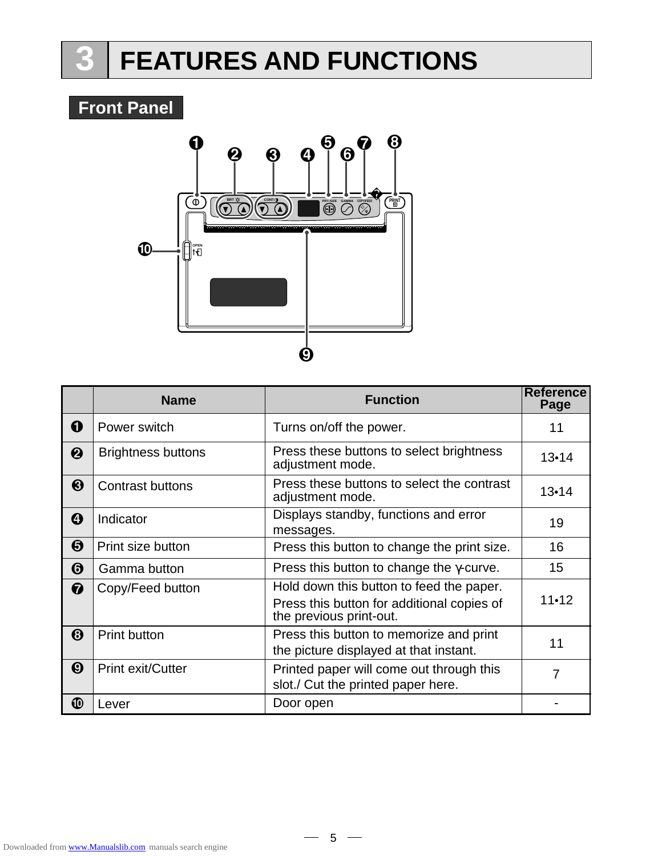# **3 FEATURES AND FUNCTIONS**

## **Front Panel**



|                       | <b>Name</b>               | <b>Function</b>                                                                                                   | <b>Reference</b><br>Page |
|-----------------------|---------------------------|-------------------------------------------------------------------------------------------------------------------|--------------------------|
| 0                     | Power switch              | Turns on/off the power.                                                                                           | 11                       |
| ❷                     | <b>Brightness buttons</b> | Press these buttons to select brightness<br>adjustment mode.                                                      | $13 - 14$                |
| ❸                     | <b>Contrast buttons</b>   | Press these buttons to select the contrast<br>adjustment mode.                                                    | $13 - 14$                |
| ❹                     | Indicator                 | Displays standby, functions and error<br>messages.                                                                | 19                       |
| ❺                     | Print size button         | Press this button to change the print size.                                                                       | 16                       |
| ❻                     | Gamma button              | Press this button to change the $\gamma$ -curve.                                                                  | 15                       |
| 0                     | Copy/Feed button          | Hold down this button to feed the paper.<br>Press this button for additional copies of<br>the previous print-out. | $11 - 12$                |
| 0                     | <b>Print button</b>       | Press this button to memorize and print<br>the picture displayed at that instant.                                 | 11                       |
| $\boldsymbol{\Theta}$ | <b>Print exit/Cutter</b>  | Printed paper will come out through this<br>slot./ Cut the printed paper here.                                    | 7                        |
| ⑩                     | Lever                     | Door open                                                                                                         |                          |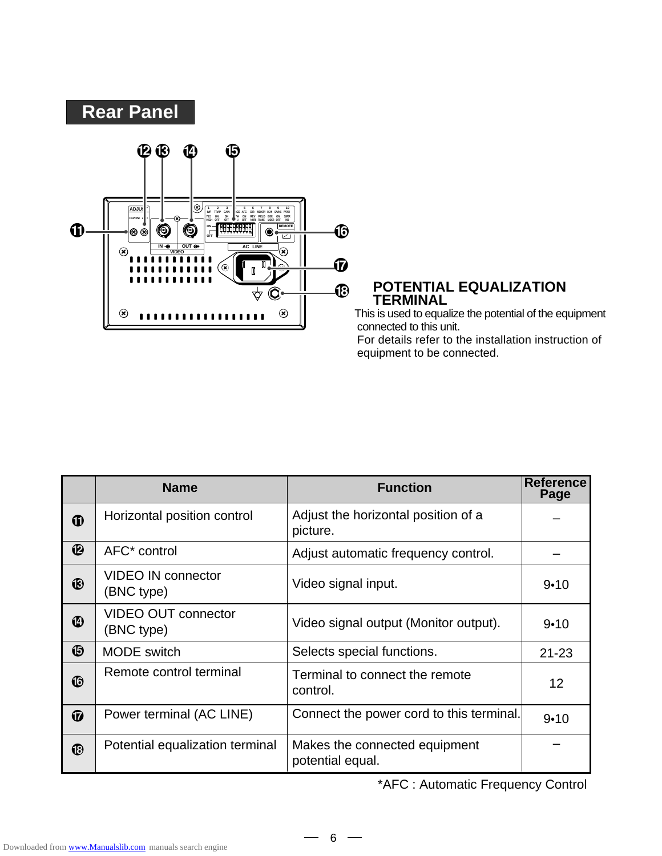

#### **POTENTIAL EQUALIZATION TERMINAL**

 This is used to equalize the potential of the equipment connected to this unit. For details refer to the installation instruction of equipment to be connected.

|                                                 | <b>Name</b>                              | <b>Function</b>                                   | <b>Reference</b><br>Page |
|-------------------------------------------------|------------------------------------------|---------------------------------------------------|--------------------------|
| ➊                                               | Horizontal position control              | Adjust the horizontal position of a<br>picture.   |                          |
| $\boldsymbol{\mathrm{\Phi}}$                    | AFC <sup>*</sup> control                 | Adjust automatic frequency control.               |                          |
| ®                                               | <b>VIDEO IN connector</b><br>(BNC type)  | Video signal input.                               | $9 - 10$                 |
| ❹                                               | <b>VIDEO OUT connector</b><br>(BNC type) | Video signal output (Monitor output).             | $9 - 10$                 |
| G                                               | <b>MODE</b> switch                       | Selects special functions.                        | $21 - 23$                |
| $\bf \Phi$                                      | Remote control terminal                  | Terminal to connect the remote<br>control.        | 12                       |
| $\boldsymbol{\boldsymbol{\boldsymbol{\omega}}}$ | Power terminal (AC LINE)                 | Connect the power cord to this terminal.          | $9 - 10$                 |
| $\bf \Phi$                                      | Potential equalization terminal          | Makes the connected equipment<br>potential equal. |                          |

\*AFC : Automatic Frequency Control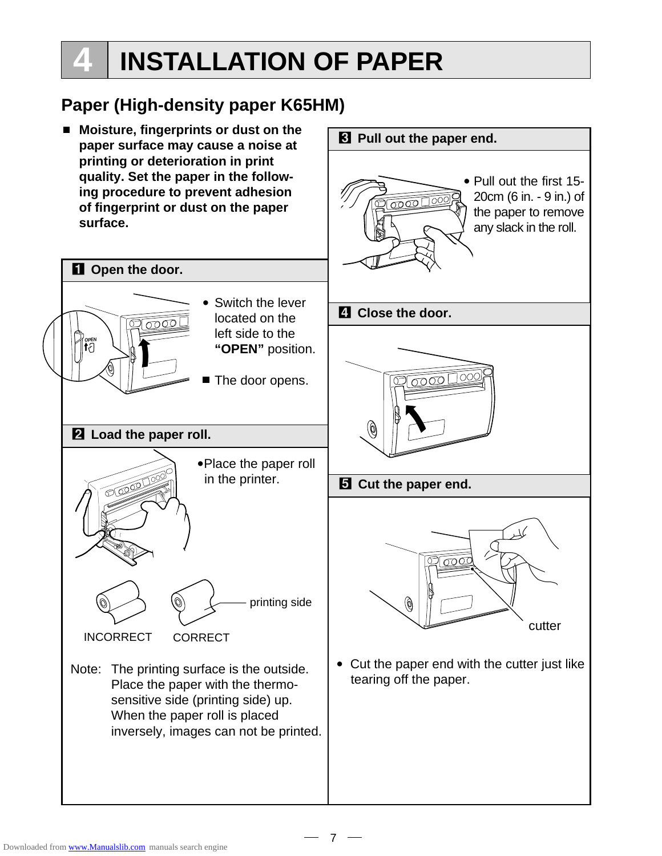# **4 INSTALLATION OF PAPER**

## **Paper (High-density paper K65HM)**

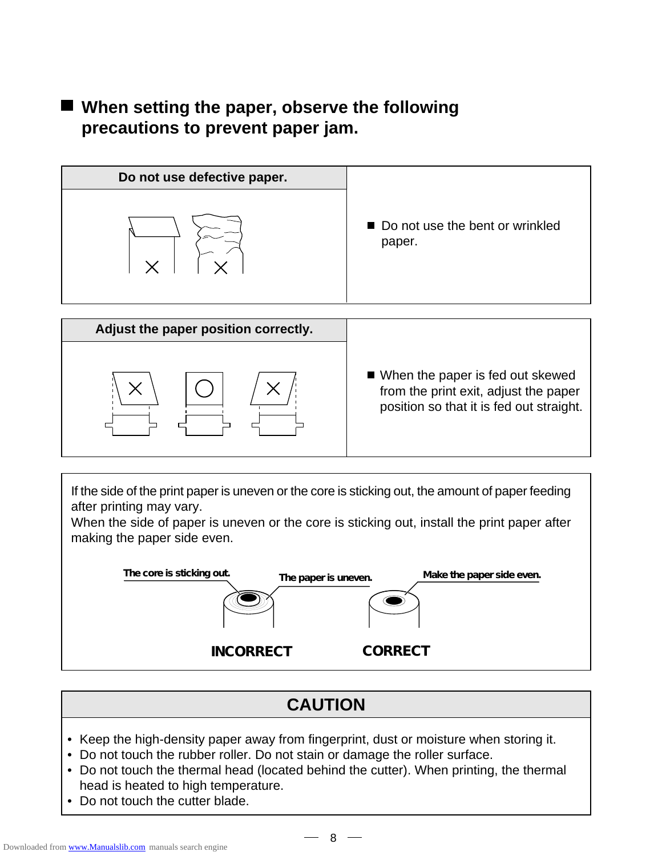## ■ When setting the paper, observe the following **precautions to prevent paper jam.**

| Do not use defective paper. |                                           |
|-----------------------------|-------------------------------------------|
|                             | Do not use the bent or wrinkled<br>paper. |
|                             |                                           |



If the side of the print paper is uneven or the core is sticking out, the amount of paper feeding after printing may vary.

When the side of paper is uneven or the core is sticking out, install the print paper after making the paper side even.



## **CAUTION**

- Keep the high-density paper away from fingerprint, dust or moisture when storing it.
- Do not touch the rubber roller. Do not stain or damage the roller surface.
- Do not touch the thermal head (located behind the cutter). When printing, the thermal head is heated to high temperature.
- Do not touch the cutter blade.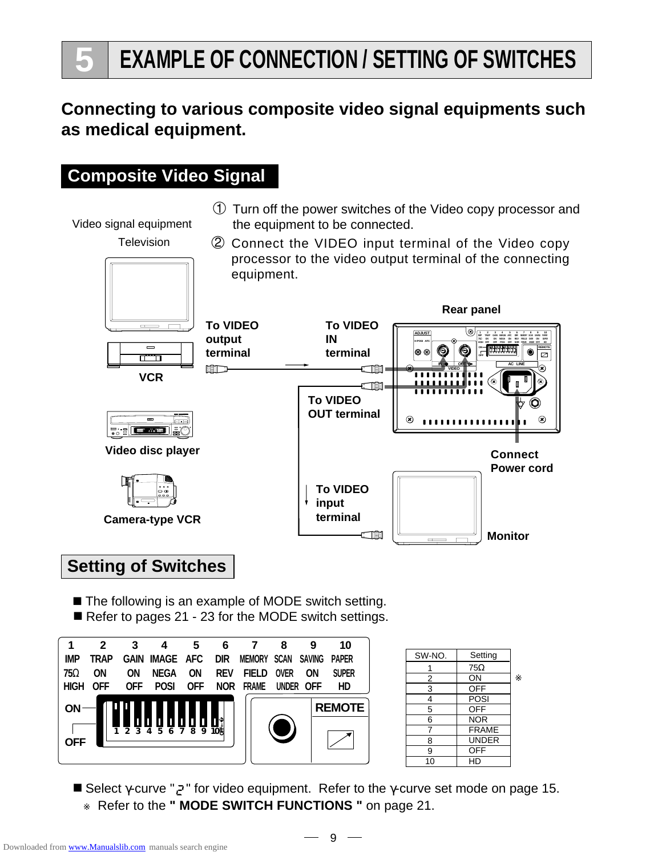## **Connecting to various composite video signal equipments such as medical equipment.**

## **Composite Video Signal**

1 Turn off the power switches of the Video copy processor and Video signal equipment the equipment to be connected. **Television** 2 Connect the VIDEO input terminal of the Video copy processor to the video output terminal of the connecting equipment. **Rear panel To VIDEO To VIDEO**  $=$ (® **ADJUST 1 2 3 4 5 6 7 8 9 10 output IN IMP TRAP GAIN IMAGE AFC DIR MEMORY SCAN SAVING PAPER 75**Ω **ON ON NEGA ON REV FIELD OVER ON SUPER H-POSI AFC 10 3 4 5 6 7 8 9 7 8 9 7 8 9 7 8 9 7 8 9 7 8 9 7 8 9 7 8 9 7 8 9 7 8 9 7 8 9 7 8 9 7 8 9 7 8 9 7 8 9 7 8 9 7 8 9 7 8 9 7 8 9 7 8 9 7 8 9 7 8 9 7 8 9 7 8 9 7 8 9 7 8 9 7 8 9 7 8 9 7 8 9 7 8 9 7 8 9 7 8 9 7 8 9 7 8 9 7 8 9**  $\circledcirc$ **REMOTE terminal terminal** |® ®|  $\overline{\boxtimes}$ त । **OFF IN OUT AC LINE NOTE** r Tik **VIDEO VCR** ∈ி∎ி **To VIDEO** (O) **OUT terminal**  $^{\circledR}$  $^{\circledR}$ ................ **LASER DISC�**  $|\mathbf{r}_i|$  and  $|\mathbf{r}_i|$ **Video disc player Connect Power cord To VIDEO input terminal**

**E THE** 

**Camera-type VCR**

## **Setting of Switches**

- The following is an example of MODE switch setting.
- Refer to pages 21 23 for the MODE switch settings.



| SW-NO.         | Setting      |
|----------------|--------------|
| 1              | $75\Omega$   |
| 2              | ON           |
| $\overline{3}$ | <b>OFF</b>   |
| 4              | POSI         |
| $\overline{5}$ | OFF          |
| 6              | <b>NOR</b>   |
| 7              | <b>FRAME</b> |
| 8              | <b>UNDER</b> |
| 9              | <b>OFF</b>   |
| 10             | HD           |
|                |              |

**Monitor**

■ Select γ-curve "  $Z$ " for video equipment. Refer to the γ-curve set mode on page 15. Refer to the " MODE SWITCH FUNCTIONS " on page 21.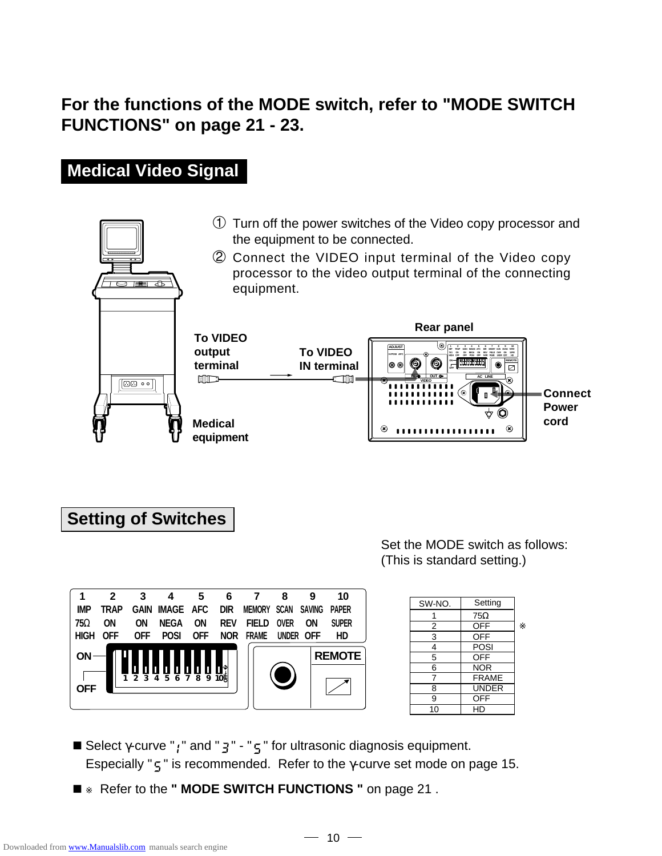## **For the functions of the MODE switch, refer to "MODE SWITCH FUNCTIONS" on page 21 - 23.**

## **Medical Video Signal**



#### **Setting of Switches**

Set the MODE switch as follows: (This is standard setting.)

| 1                       | 2          | 3           | 4                | 5          | 6               |               | 8            | 9             | 10            |
|-------------------------|------------|-------------|------------------|------------|-----------------|---------------|--------------|---------------|---------------|
| <b>IMP</b>              | TRAP       | <b>GAIN</b> | <b>IMAGE AFC</b> |            | <b>DIR</b>      | <b>MEMORY</b> | SCAN         | <b>SAVING</b> | <b>PAPER</b>  |
| $75\Omega$              | ON         | ΟN          | <b>NEGA</b>      | ΟN         | <b>REV</b>      | <b>FIELD</b>  | <b>OVER</b>  | ΟN            | <b>SUPER</b>  |
| <b>HIGH</b>             | <b>OFF</b> | <b>OFF</b>  | <b>POSI</b>      | <b>OFF</b> | <b>NOR</b>      | <b>FRAME</b>  | <b>UNDER</b> | <b>OFF</b>    | HD            |
| <b>ON</b><br><b>OFF</b> |            |             |                  |            | $\overline{10}$ |               |              |               | <b>REMOTE</b> |

| SW-NO.         | Setting      |
|----------------|--------------|
|                | $75\Omega$   |
| 2              | <b>OFF</b>   |
| 3              | <b>OFF</b>   |
| 4              | POSI         |
| $\overline{5}$ | <b>OFF</b>   |
| 6              | <b>NOR</b>   |
| 7              | <b>FRAME</b> |
| 8              | <b>UNDER</b> |
| 9              | <b>OFF</b>   |
| 10             | HD           |

- **E** Select  $\gamma$ -curve "  $\gamma$ " and "  $\vec{a}$ " "  $\vec{b}$ " for ultrasonic diagnosis equipment. Especially " $\zeta$ " is recommended. Refer to the *γ*-curve set mode on page 15.
- Refer to the " MODE SWITCH FUNCTIONS " on page 21.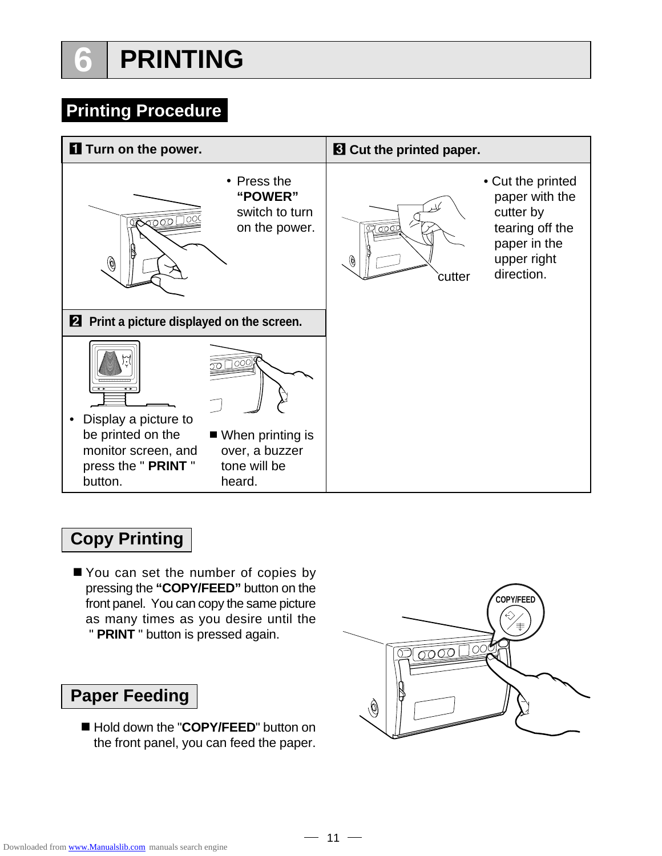# **6 PRINTING**

## **Printing Procedure**



## **Copy Printing**

■ You can set the number of copies by pressing the **"COPY/FEED"** button on the front panel. You can copy the same picture as many times as you desire until the " **PRINT** " button is pressed again.

## **Paper Feeding**

■ Hold down the "**COPY/FEED**" button on the front panel, you can feed the paper.

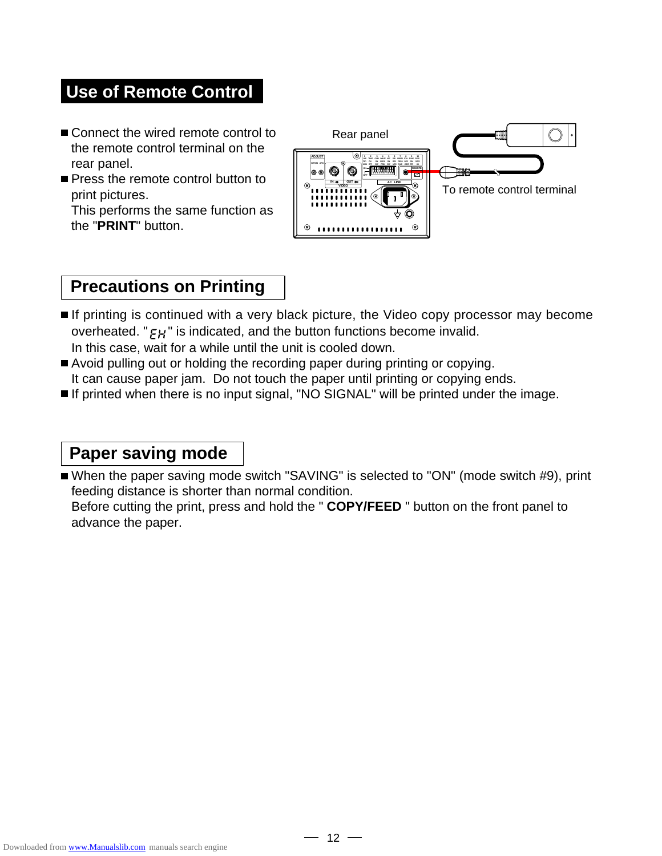## **Use of Remote Control**

- Connect the wired remote control to the remote control terminal on the rear panel.
- **Press the remote control button to** print pictures. This performs the same function as the "**PRINT**" button.



## **Precautions on Printing**

- If printing is continued with a very black picture, the Video copy processor may become overheated. " $E$ H" is indicated, and the button functions become invalid. In this case, wait for a while until the unit is cooled down.
- Avoid pulling out or holding the recording paper during printing or copying. It can cause paper jam. Do not touch the paper until printing or copying ends.
- If printed when there is no input signal, "NO SIGNAL" will be printed under the image.

#### **Paper saving mode**

■ When the paper saving mode switch "SAVING" is selected to "ON" (mode switch #9), print feeding distance is shorter than normal condition.

Before cutting the print, press and hold the " **COPY/FEED** " button on the front panel to advance the paper.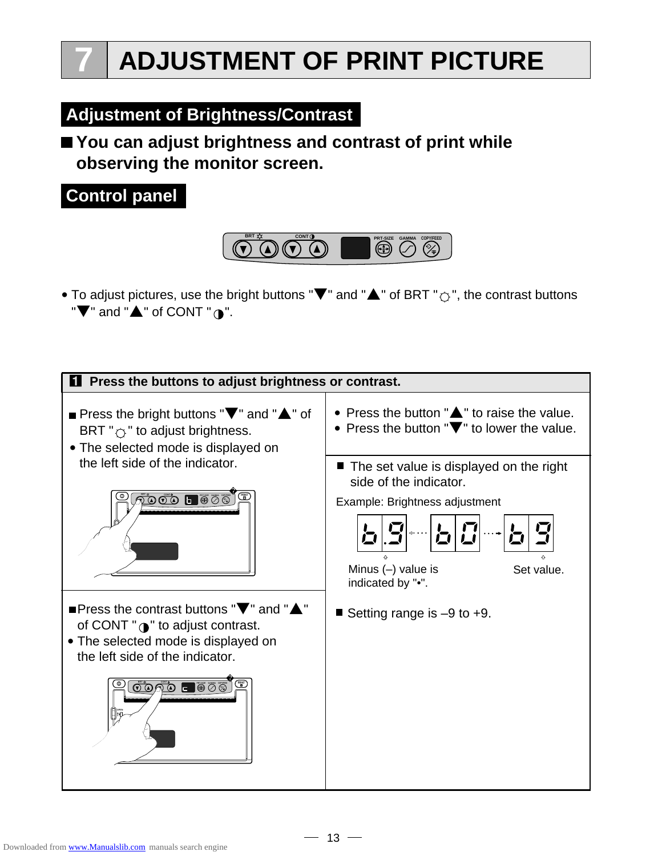## **Adjustment of Brightness/Contrast**

## **You can adjust brightness and contrast of print while observing the monitor screen.**



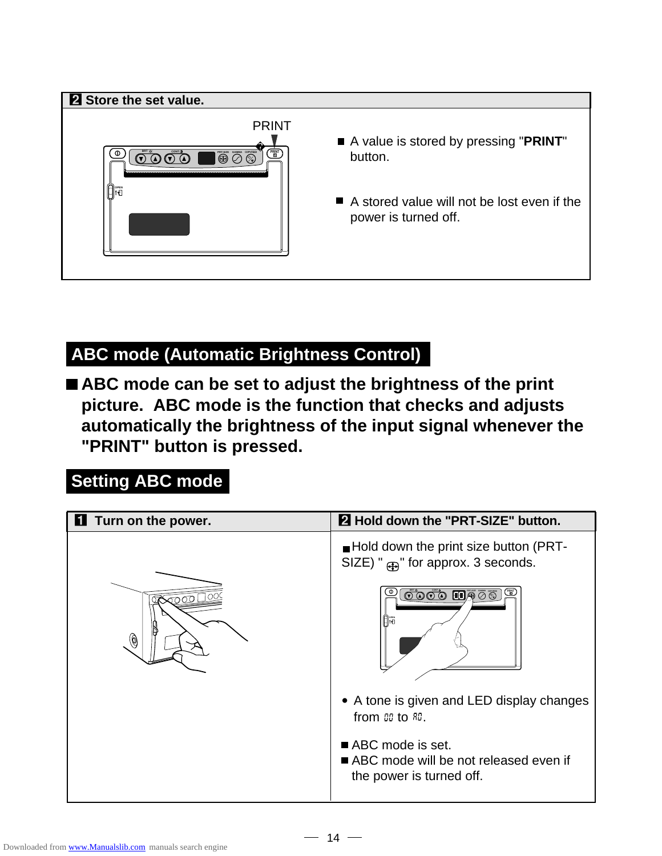

## **ABC mode (Automatic Brightness Control)**

■ ABC mode can be set to adjust the brightness of the print **picture. ABC mode is the function that checks and adjusts automatically the brightness of the input signal whenever the "PRINT" button is pressed.**

## **Setting ABC mode**

| <b>1</b> Turn on the power. | 2 Hold down the "PRT-SIZE" button.                                                                         |
|-----------------------------|------------------------------------------------------------------------------------------------------------|
|                             | $\blacksquare$ Hold down the print size button (PRT-<br>SIZE) " $_{(4)}$ " for approx. 3 seconds.          |
| $^\copyright$               | $\blacksquare\overline{\bigcirc}\,\overline{\otimes}\,\overline{\otimes}$<br>$\circ\circ\circ\circ$<br>Ara |
|                             | • A tone is given and LED display changes<br>from $00$ to $00$ .                                           |
|                             | ABC mode is set.<br>ABC mode will be not released even if<br>the power is turned off.                      |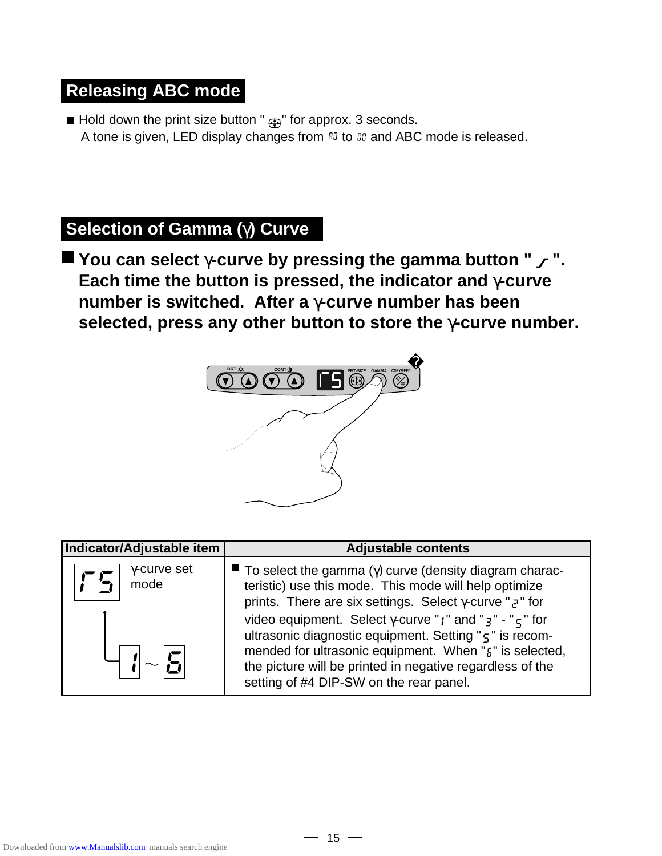## **Releasing ABC mode**

Hold down the print size button " $\bigoplus$ " for approx. 3 seconds. A tone is given, LED display changes from  $R_0$  to  $\omega_0$  and ABC mode is released.

## **Selection of Gamma (**γ**) Curve**

**You can select** γ**-curve by pressing the gamma button " ". Each time the button is pressed, the indicator and** γ**-curve number is switched. After a** γ**-curve number has been selected, press any other button to store the** γ**-curve number.**



| Indicator/Adjustable item   | <b>Adjustable contents</b>                                                                                                                                                                                                                                                                                                                                                                                                                                                                                                                      |
|-----------------------------|-------------------------------------------------------------------------------------------------------------------------------------------------------------------------------------------------------------------------------------------------------------------------------------------------------------------------------------------------------------------------------------------------------------------------------------------------------------------------------------------------------------------------------------------------|
| $\gamma$ -curve set<br>mode | $\blacksquare$ To select the gamma ( $\gamma$ ) curve (density diagram charac-<br>teristic) use this mode. This mode will help optimize<br>prints. There are six settings. Select $\gamma$ -curve "z" for<br>video equipment. Select $\gamma$ -curve "; " and " $\frac{1}{3}$ " - " $\frac{1}{5}$ " for<br>ultrasonic diagnostic equipment. Setting " $\varsigma$ " is recom-<br>mended for ultrasonic equipment. When "5" is selected,<br>the picture will be printed in negative regardless of the<br>setting of #4 DIP-SW on the rear panel. |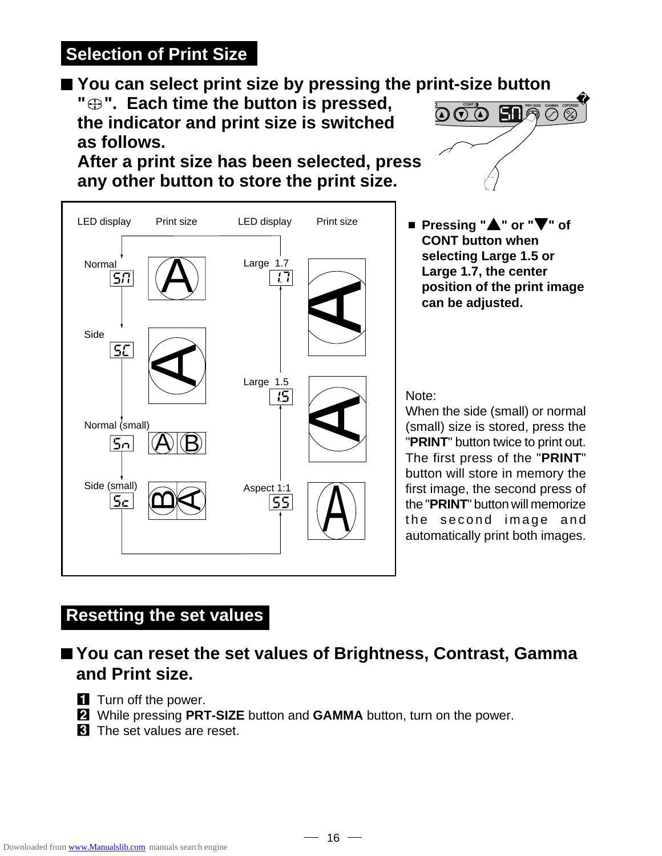## **Selection of Print Size**

## ■ You can select print size by pressing the print-size button

**" ". Each time the button is pressed, the indicator and print size is switched as follows.**

**After a print size has been selected, press any other button to store the print size.**





■ Pressing "**△**" or "▼" of **CONT button when selecting Large 1.5 or Large 1.7, the center position of the print image can be adjusted.**

Note:

When the side (small) or normal (small) size is stored, press the "**PRINT**" button twice to print out. The first press of the "**PRINT**" button will store in memory the first image, the second press of the "**PRINT**" button will memorize the second image and automatically print both images.

## **Resetting the set values**

## ■ You can reset the set values of Brightness, Contrast, Gamma **and Print size.**

- **1** Turn off the power.
- 2 While pressing **PRT-SIZE** button and **GAMMA** button, turn on the power.
- **3** The set values are reset.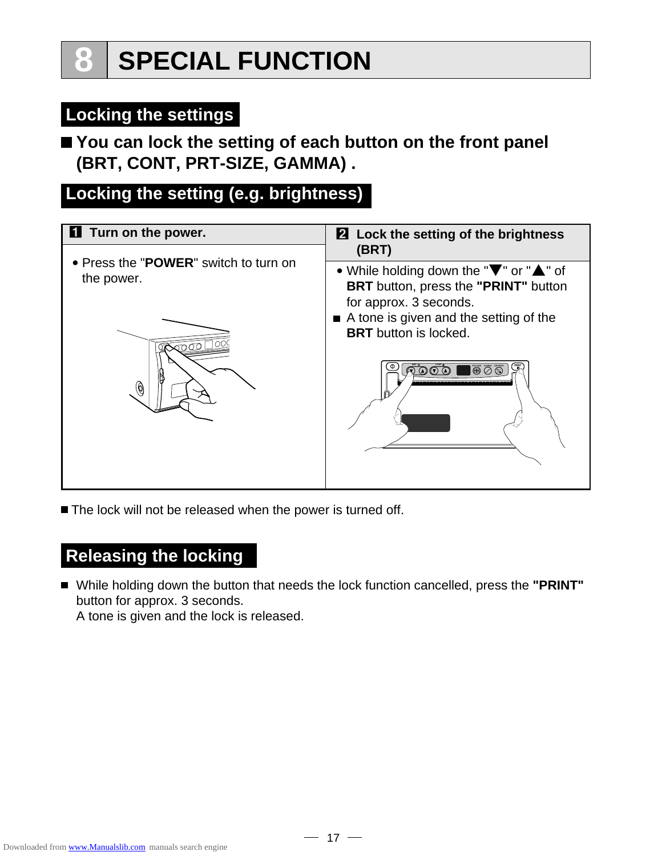## **Locking the settings**

## **You can lock the setting of each button on the front panel (BRT, CONT, PRT-SIZE, GAMMA) .**

## **Locking the setting (e.g. brightness)**

| <b>1</b> Turn on the power.                         | 2 Lock the setting of the brightness                                                                                                                                                                                                     |  |  |
|-----------------------------------------------------|------------------------------------------------------------------------------------------------------------------------------------------------------------------------------------------------------------------------------------------|--|--|
| • Press the "POWER" switch to turn on<br>the power. | (BRT)<br>• While holding down the " $\blacktriangledown$ " or " $\blacktriangle$ " of<br><b>BRT</b> button, press the "PRINT" button<br>for approx. 3 seconds.<br>A tone is given and the setting of the<br><b>BRT</b> button is locked. |  |  |
|                                                     | $\overline{\circ}$<br>$\circledcirc$                                                                                                                                                                                                     |  |  |

■ The lock will not be released when the power is turned off.

## **Releasing the locking**

While holding down the button that needs the lock function cancelled, press the **"PRINT"** button for approx. 3 seconds.

A tone is given and the lock is released.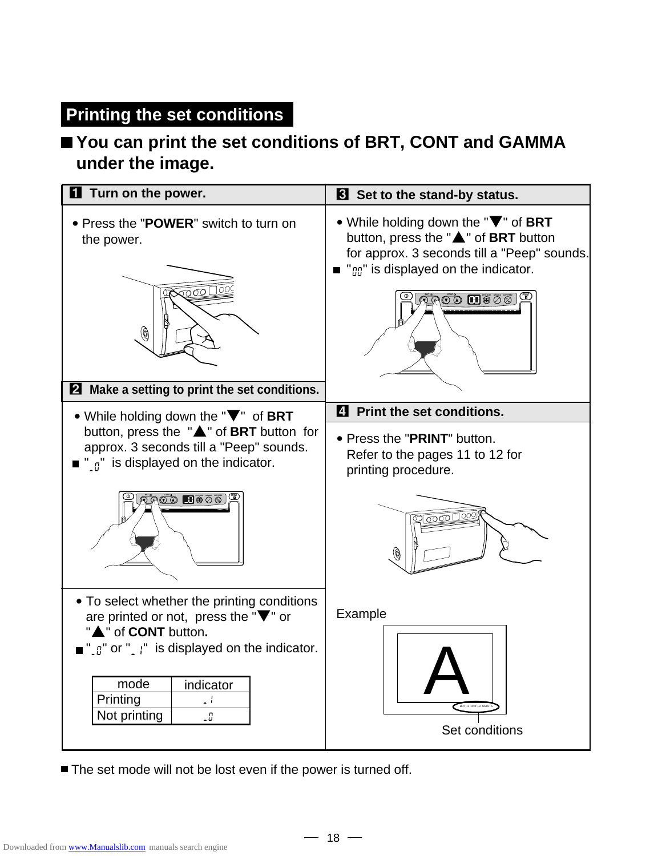## **Printing the set conditions**

## **You can print the set conditions of BRT, CONT and GAMMA under the image.**

| <b>1</b> Turn on the power.                                                                                                                                                                                                                                                           | <b>B</b> Set to the stand-by status.                                                                                                                                                                                                               |  |  |
|---------------------------------------------------------------------------------------------------------------------------------------------------------------------------------------------------------------------------------------------------------------------------------------|----------------------------------------------------------------------------------------------------------------------------------------------------------------------------------------------------------------------------------------------------|--|--|
| • Press the "POWER" switch to turn on<br>the power.<br>$\sim$<br>◉<br>2 Make a setting to print the set conditions.                                                                                                                                                                   | • While holding down the "V" of BRT<br>button, press the "A" of BRT button<br>for approx. 3 seconds till a "Peep" sounds.<br>" $\text{m}$ " is displayed on the indicator.<br>$\bar{\mathfrak{gl}}$ 200 $\mathbf{H}$ 00 $\overline{\mathfrak{sl}}$ |  |  |
| • While holding down the "V" of BRT                                                                                                                                                                                                                                                   | 4 Print the set conditions.                                                                                                                                                                                                                        |  |  |
| button, press the "A" of BRT button for<br>approx. 3 seconds till a "Peep" sounds.<br>" $\eta$ " is displayed on the indicator.                                                                                                                                                       | • Press the "PRINT" button.<br>Refer to the pages 11 to 12 for<br>printing procedure.                                                                                                                                                              |  |  |
| $\mathbb{R}$ oo $\blacksquare$ e $\circ$ o $\mathbb{Z}$                                                                                                                                                                                                                               | $\circ$ $\circ$ $\circ$ $\circ$ $\circ$<br>$\circledast$                                                                                                                                                                                           |  |  |
| • To select whether the printing conditions<br>are printed or not, press the " $\nabla$ " or<br>▲" of CONT button.<br>$\blacksquare$ " $\lbrack a \rbrack$ " or " $\lbrack a \rbrack$ " is displayed on the indicator.<br>mode<br>indicator<br>Printing<br>., t<br>Not printing<br>-0 | Example<br>Set conditions                                                                                                                                                                                                                          |  |  |

■ The set mode will not be lost even if the power is turned off.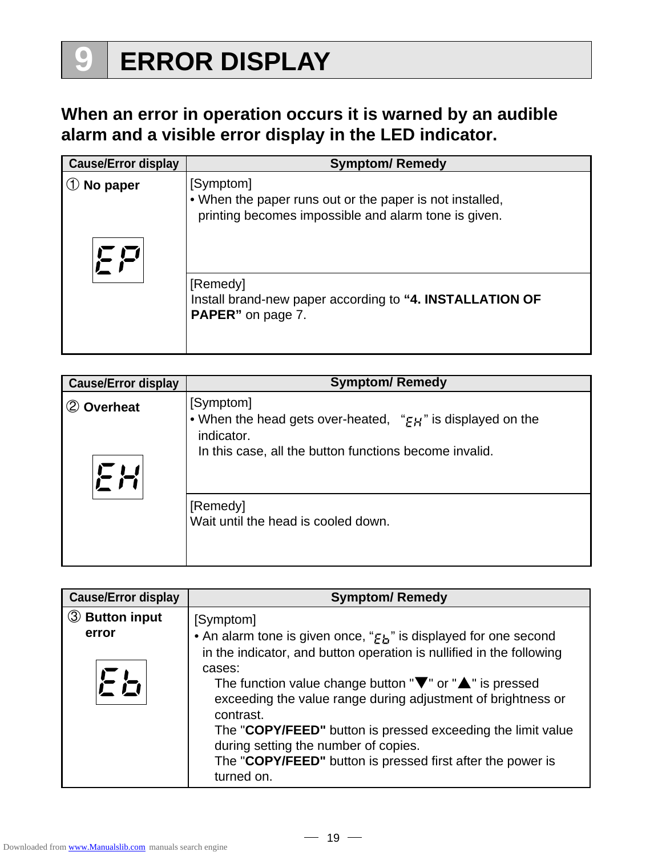# **9 ERROR DISPLAY**

## **When an error in operation occurs it is warned by an audible alarm and a visible error display in the LED indicator.**

| <b>Cause/Error display</b> | <b>Symptom/ Remedy</b>                                                                                                        |
|----------------------------|-------------------------------------------------------------------------------------------------------------------------------|
| No paper                   | [Symptom]<br>. When the paper runs out or the paper is not installed,<br>printing becomes impossible and alarm tone is given. |
|                            | [Remedy]<br>Install brand-new paper according to "4. INSTALLATION OF<br><b>PAPER</b> " on page 7.                             |

| <b>Cause/Error display</b>           | <b>Symptom/ Remedy</b>                                                                                                                                      |
|--------------------------------------|-------------------------------------------------------------------------------------------------------------------------------------------------------------|
| <b>Overheat</b><br>$\left( 2\right)$ | [Symptom]<br>• When the head gets over-heated, " $\epsilon H$ " is displayed on the<br>indicator.<br>In this case, all the button functions become invalid. |
|                                      | [Remedy]<br>Wait until the head is cooled down.                                                                                                             |

| <b>Cause/Error display</b> | <b>Symptom/ Remedy</b>                                                                                                                                                                                                                                                                                                                                                                                                                                                                           |
|----------------------------|--------------------------------------------------------------------------------------------------------------------------------------------------------------------------------------------------------------------------------------------------------------------------------------------------------------------------------------------------------------------------------------------------------------------------------------------------------------------------------------------------|
| <b>3</b> Button input      | [Symptom]                                                                                                                                                                                                                                                                                                                                                                                                                                                                                        |
| error<br>とと                | • An alarm tone is given once, "Eh" is displayed for one second<br>in the indicator, and button operation is nullified in the following<br>cases:<br>The function value change button " $\nabla$ " or " $\triangle$ " is pressed<br>exceeding the value range during adjustment of brightness or<br>contrast.<br>The "COPY/FEED" button is pressed exceeding the limit value<br>during setting the number of copies.<br>The "COPY/FEED" button is pressed first after the power is<br>turned on. |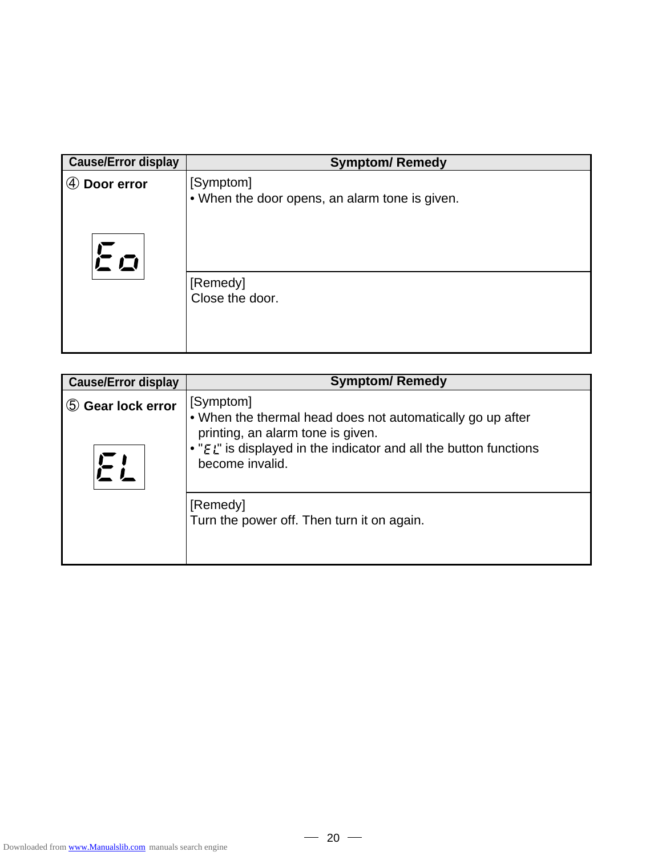| <b>Cause/Error display</b> | <b>Symptom/ Remedy</b>                                      |
|----------------------------|-------------------------------------------------------------|
| Door error<br>(4)          | [Symptom]<br>• When the door opens, an alarm tone is given. |
| Eo                         |                                                             |
|                            | [Remedy]<br>Close the door.                                 |
|                            |                                                             |

| <b>Cause/Error display</b> | <b>Symptom/ Remedy</b>                                                                                                                                                                                    |
|----------------------------|-----------------------------------------------------------------------------------------------------------------------------------------------------------------------------------------------------------|
| 5 Gear lock error          | [Symptom]<br>• When the thermal head does not automatically go up after<br>printing, an alarm tone is given.<br>• " $E_L$ " is displayed in the indicator and all the button functions<br>become invalid. |
|                            | [Remedy]<br>Turn the power off. Then turn it on again.                                                                                                                                                    |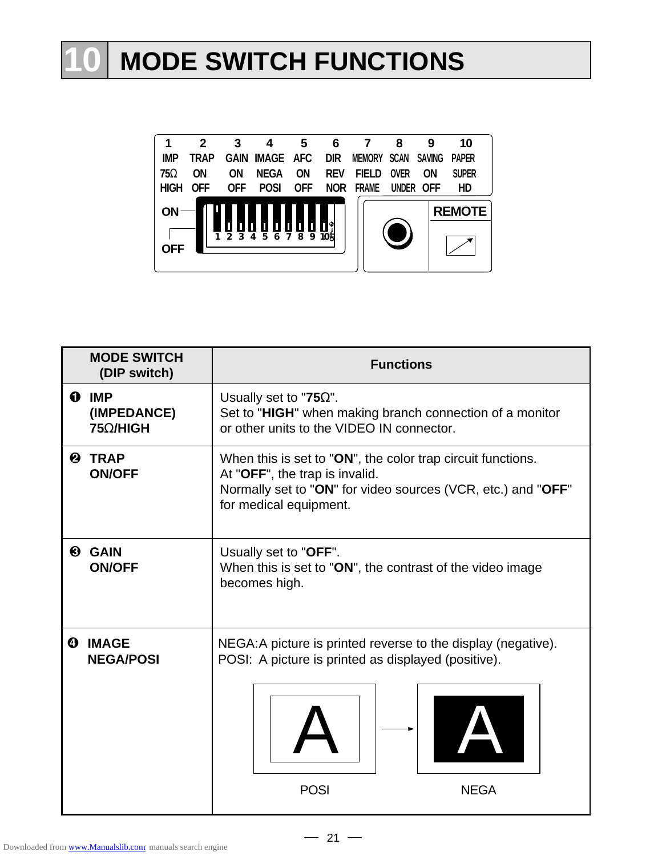# **10 MODE SWITCH FUNCTIONS**



|   | <b>MODE SWITCH</b><br>(DIP switch) | <b>Functions</b>                                                                                                                                                                        |  |  |  |
|---|------------------------------------|-----------------------------------------------------------------------------------------------------------------------------------------------------------------------------------------|--|--|--|
|   | O IMP<br>(IMPEDANCE)<br>75Ω/HIGH   | Usually set to "75 $\Omega$ ".<br>Set to "HIGH" when making branch connection of a monitor<br>or other units to the VIDEO IN connector.                                                 |  |  |  |
| ❷ | <b>TRAP</b><br><b>ON/OFF</b>       | When this is set to "ON", the color trap circuit functions.<br>At "OFF", the trap is invalid.<br>Normally set to "ON" for video sources (VCR, etc.) and "OFF"<br>for medical equipment. |  |  |  |
| ❸ | <b>GAIN</b><br><b>ON/OFF</b>       | Usually set to "OFF".<br>When this is set to "ON", the contrast of the video image<br>becomes high.                                                                                     |  |  |  |
|   | <b>4 IMAGE</b><br><b>NEGA/POSI</b> | NEGA: A picture is printed reverse to the display (negative).<br>POSI: A picture is printed as displayed (positive).<br><b>POSI</b><br><b>NEGA</b>                                      |  |  |  |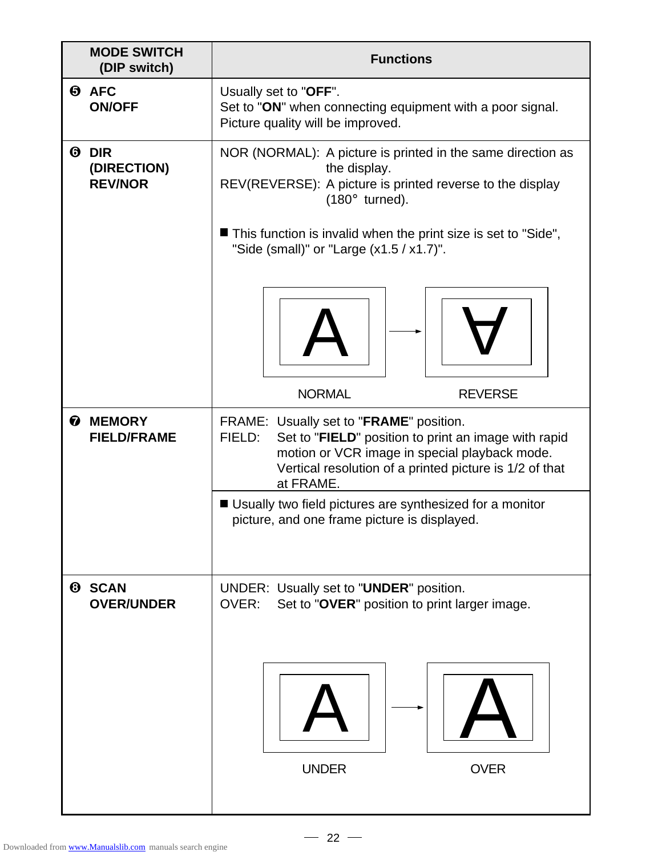|                       | <b>MODE SWITCH</b><br>(DIP switch)           | <b>Functions</b>                                                                                                                                                                                                                   |  |  |  |
|-----------------------|----------------------------------------------|------------------------------------------------------------------------------------------------------------------------------------------------------------------------------------------------------------------------------------|--|--|--|
|                       | <b>O</b> AFC<br><b>ON/OFF</b>                | Usually set to "OFF".<br>Set to "ON" when connecting equipment with a poor signal.<br>Picture quality will be improved.                                                                                                            |  |  |  |
|                       | <b>ODIR</b><br>(DIRECTION)<br><b>REV/NOR</b> | NOR (NORMAL): A picture is printed in the same direction as<br>the display.<br>REV(REVERSE): A picture is printed reverse to the display<br>$(180^{\circ}$ turned).                                                                |  |  |  |
|                       |                                              | ■ This function is invalid when the print size is set to "Side",<br>"Side (small)" or "Large $(x1.5 / x1.7)$ ".                                                                                                                    |  |  |  |
|                       |                                              |                                                                                                                                                                                                                                    |  |  |  |
|                       |                                              | <b>NORMAL</b><br><b>REVERSE</b>                                                                                                                                                                                                    |  |  |  |
| $\boldsymbol{\theta}$ | <b>MEMORY</b><br><b>FIELD/FRAME</b>          | FRAME: Usually set to "FRAME" position.<br>Set to "FIELD" position to print an image with rapid<br>FIELD:<br>motion or VCR image in special playback mode.<br>Vertical resolution of a printed picture is 1/2 of that<br>at FRAME. |  |  |  |
|                       |                                              | ■ Usually two field pictures are synthesized for a monitor<br>picture, and one frame picture is displayed.                                                                                                                         |  |  |  |
| ❸                     | <b>SCAN</b><br><b>OVER/UNDER</b>             | UNDER: Usually set to "UNDER" position.<br>OVER:<br>Set to "OVER" position to print larger image.                                                                                                                                  |  |  |  |
|                       |                                              |                                                                                                                                                                                                                                    |  |  |  |
|                       |                                              | <b>UNDER</b><br><b>OVER</b>                                                                                                                                                                                                        |  |  |  |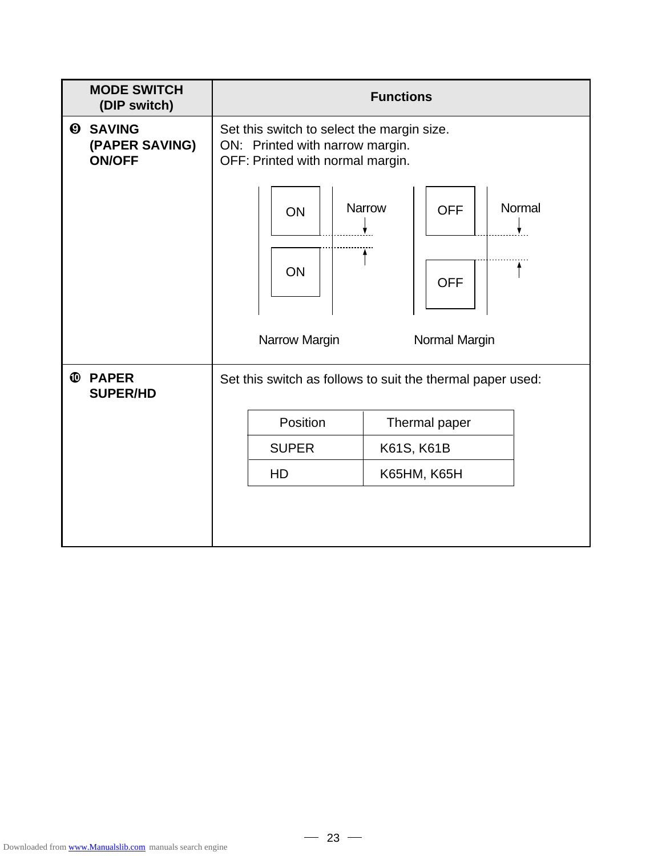| <b>MODE SWITCH</b><br>(DIP switch)                 | <b>Functions</b>                                                                                                  |  |  |  |  |
|----------------------------------------------------|-------------------------------------------------------------------------------------------------------------------|--|--|--|--|
| <b>@ SAVING</b><br>(PAPER SAVING)<br><b>ON/OFF</b> | Set this switch to select the margin size.<br>ON: Printed with narrow margin.<br>OFF: Printed with normal margin. |  |  |  |  |
|                                                    | <b>Narrow</b><br>Normal<br><b>OFF</b><br>ON                                                                       |  |  |  |  |
|                                                    | ON<br><b>OFF</b>                                                                                                  |  |  |  |  |
|                                                    | Narrow Margin<br>Normal Margin                                                                                    |  |  |  |  |
| <b>PAPER</b><br>$\mathbf{D}$<br><b>SUPER/HD</b>    | Set this switch as follows to suit the thermal paper used:                                                        |  |  |  |  |
|                                                    | Position<br>Thermal paper                                                                                         |  |  |  |  |
|                                                    | <b>SUPER</b><br>K61S, K61B                                                                                        |  |  |  |  |
|                                                    | HD<br><b>K65HM, K65H</b>                                                                                          |  |  |  |  |
|                                                    |                                                                                                                   |  |  |  |  |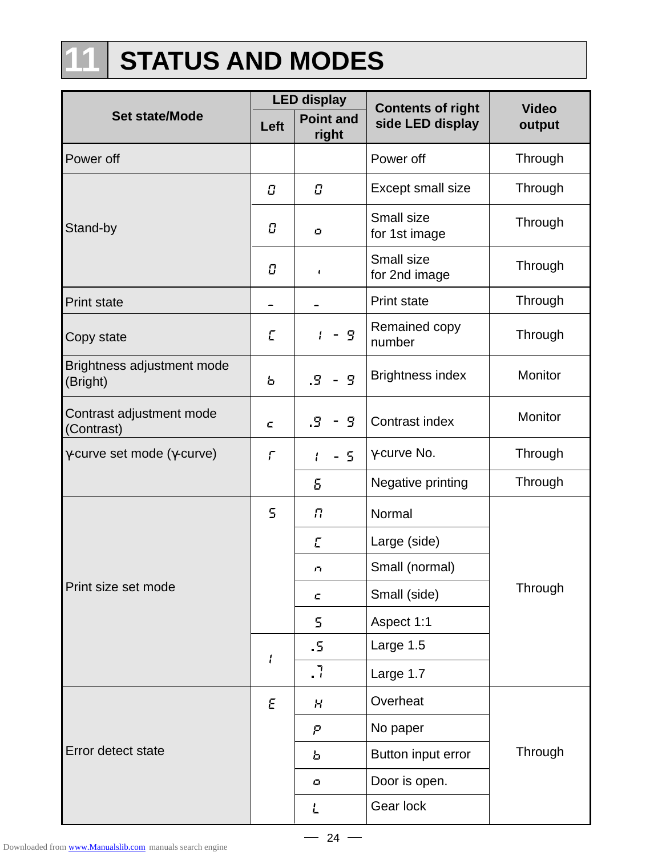# **11 STATUS AND MODES**

|                                             | <b>LED display</b>         |                            | <b>Contents of right</b>    | <b>Video</b> |
|---------------------------------------------|----------------------------|----------------------------|-----------------------------|--------------|
| <b>Set state/Mode</b>                       | Left                       | <b>Point and</b><br>right  | side LED display            | output       |
| Power off                                   |                            |                            | Power off                   | Through      |
|                                             | $\boldsymbol{\mathcal{C}}$ | $\boldsymbol{\mathcal{C}}$ | Except small size           | Through      |
| Stand-by                                    | Ū                          | $\mathbf{C}$               | Small size<br>for 1st image | Through      |
|                                             | Ū                          | $\mathbf{I}$               | Small size<br>for 2nd image | Through      |
| <b>Print state</b>                          |                            |                            | <b>Print state</b>          | Through      |
| Copy state                                  | $\Gamma$                   | - 9                        | Remained copy<br>number     | Through      |
| Brightness adjustment mode<br>(Bright)      | Ь                          | $\mathbf{S}$<br>.5         | <b>Brightness index</b>     | Monitor      |
| Contrast adjustment mode<br>(Contrast)      | c                          | 5<br>.9                    | Contrast index              | Monitor      |
| $\gamma$ -curve set mode ( $\gamma$ -curve) | $\mathcal{L}$              | - 5<br>Ł                   | γ-curve No.                 | Through      |
|                                             |                            | 5                          | Negative printing           | Through      |
|                                             | 5                          | П                          | Normal                      |              |
|                                             |                            | E                          | Large (side)                |              |
|                                             |                            | n                          | Small (normal)              |              |
| Print size set mode                         |                            | c                          | Small (side)                | Through      |
|                                             |                            | 5                          | Aspect 1:1                  |              |
|                                             | $\mathbf{I}$               | .5                         | Large 1.5                   |              |
|                                             |                            | . 7                        | Large 1.7                   |              |
|                                             | Ε                          | $\boldsymbol{\mathcal{H}}$ | Overheat                    |              |
|                                             |                            | Ρ                          | No paper                    |              |
| Error detect state                          |                            | Ь                          | Button input error          | Through      |
|                                             |                            | ο                          | Door is open.               |              |
|                                             |                            | $\overline{L}$             | Gear lock                   |              |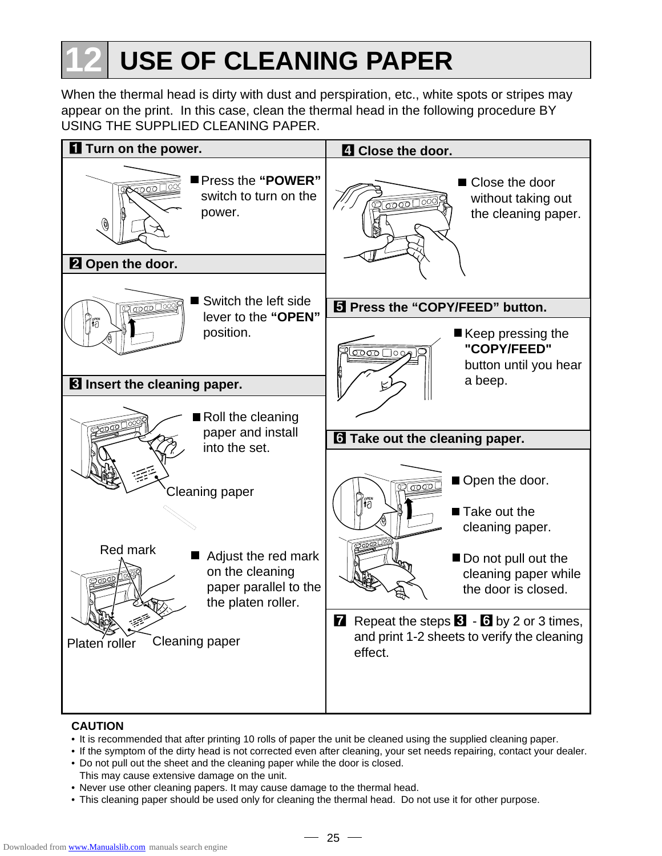# **12 USE OF CLEANING PAPER**

When the thermal head is dirty with dust and perspiration, etc., white spots or stripes may appear on the print. In this case, clean the thermal head in the following procedure BY USING THE SUPPLIED CLEANING PAPER.



#### **CAUTION**

- It is recommended that after printing 10 rolls of paper the unit be cleaned using the supplied cleaning paper.
- If the symptom of the dirty head is not corrected even after cleaning, your set needs repairing, contact your dealer.
- Do not pull out the sheet and the cleaning paper while the door is closed. This may cause extensive damage on the unit.
- Never use other cleaning papers. It may cause damage to the thermal head.
- This cleaning paper should be used only for cleaning the thermal head. Do not use it for other purpose.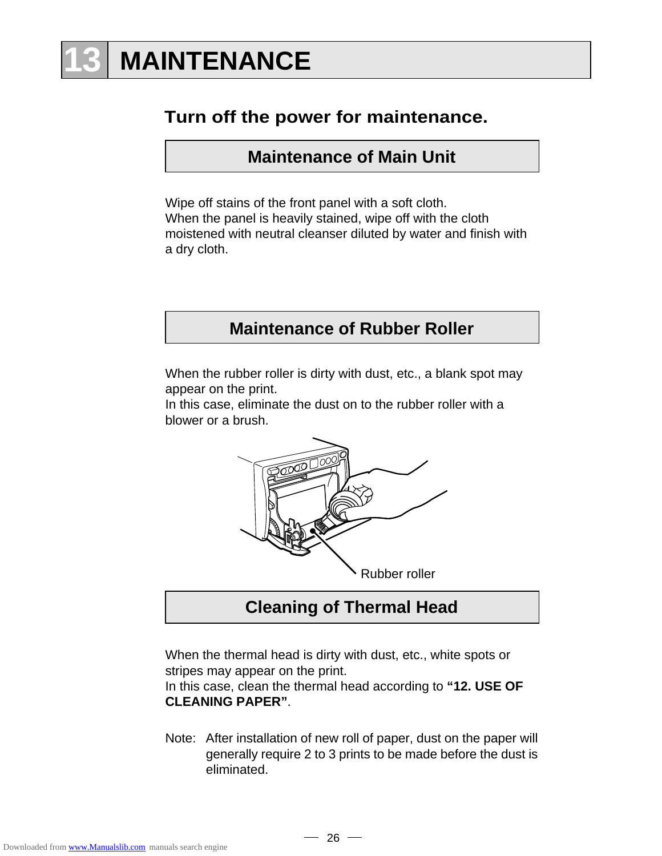# **13 MAINTENANCE**

## **Turn off the power for maintenance.**

**Maintenance of Main Unit**

Wipe off stains of the front panel with a soft cloth. When the panel is heavily stained, wipe off with the cloth moistened with neutral cleanser diluted by water and finish with a dry cloth.

## **Maintenance of Rubber Roller**

When the rubber roller is dirty with dust, etc., a blank spot may appear on the print.

In this case, eliminate the dust on to the rubber roller with a blower or a brush.



**Cleaning of Thermal Head**

When the thermal head is dirty with dust, etc., white spots or stripes may appear on the print.

In this case, clean the thermal head according to **"12. USE OF CLEANING PAPER"**.

Note: After installation of new roll of paper, dust on the paper will generally require 2 to 3 prints to be made before the dust is eliminated.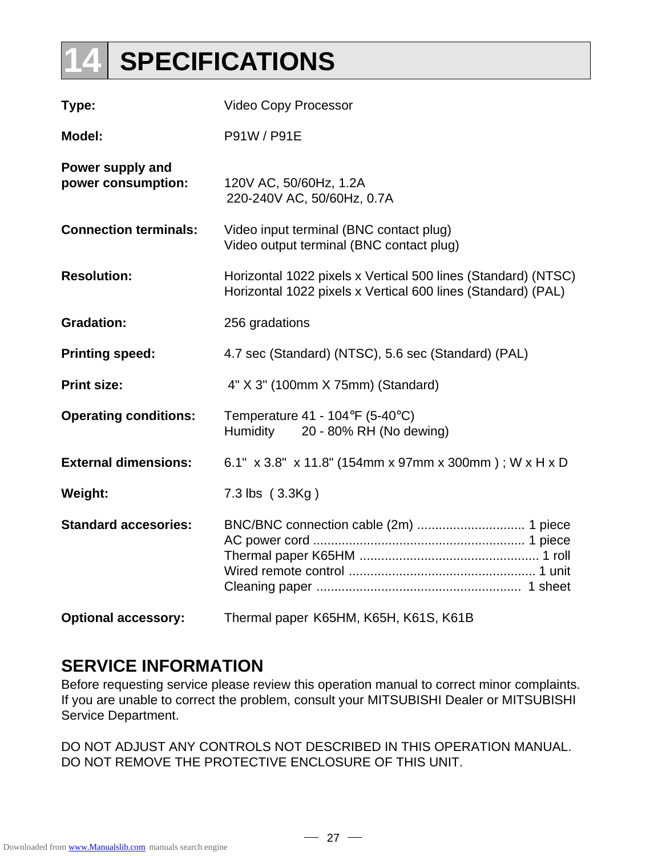# **14 SPECIFICATIONS**

| Type:                                  | <b>Video Copy Processor</b>                                                                                                   |
|----------------------------------------|-------------------------------------------------------------------------------------------------------------------------------|
| <b>Model:</b>                          | P91W / P91E                                                                                                                   |
| Power supply and<br>power consumption: | 120V AC, 50/60Hz, 1.2A<br>220-240V AC, 50/60Hz, 0.7A                                                                          |
| <b>Connection terminals:</b>           | Video input terminal (BNC contact plug)<br>Video output terminal (BNC contact plug)                                           |
| <b>Resolution:</b>                     | Horizontal 1022 pixels x Vertical 500 lines (Standard) (NTSC)<br>Horizontal 1022 pixels x Vertical 600 lines (Standard) (PAL) |
| <b>Gradation:</b>                      | 256 gradations                                                                                                                |
| <b>Printing speed:</b>                 | 4.7 sec (Standard) (NTSC), 5.6 sec (Standard) (PAL)                                                                           |
| <b>Print size:</b>                     | 4" X 3" (100mm X 75mm) (Standard)                                                                                             |
| <b>Operating conditions:</b>           | Temperature $41 - 104$ °F (5-40°C)<br>Humidity<br>20 - 80% RH (No dewing)                                                     |
| <b>External dimensions:</b>            | 6.1" x 3.8" x 11.8" (154mm x 97mm x 300mm); W x H x D                                                                         |
| Weight:                                | 7.3 lbs (3.3Kg)                                                                                                               |
| <b>Standard accesories:</b>            |                                                                                                                               |
| <b>Optional accessory:</b>             | Thermal paper K65HM, K65H, K61S, K61B                                                                                         |

## **SERVICE INFORMATION**

Before requesting service please review this operation manual to correct minor complaints. If you are unable to correct the problem, consult your MITSUBISHI Dealer or MITSUBISHI Service Department.

DO NOT ADJUST ANY CONTROLS NOT DESCRIBED IN THIS OPERATION MANUAL. DO NOT REMOVE THE PROTECTIVE ENCLOSURE OF THIS UNIT.